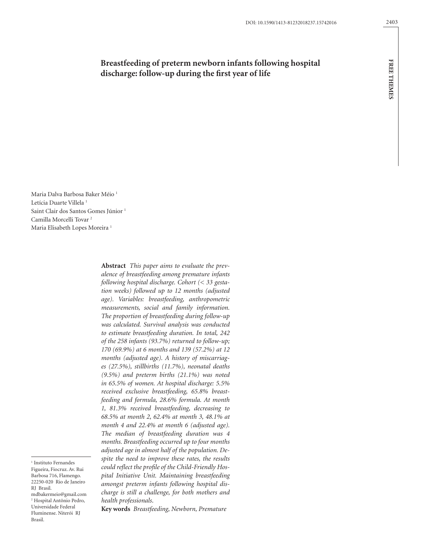# **Breastfeeding of preterm newborn infants following hospital discharge: follow-up during the first year of life**

Maria Dalva Barbosa Baker Méio 1 Letícia Duarte Villela<sup>1</sup> Saint Clair dos Santos Gomes Júnior<sup>1</sup> Camilla Morcelli Tovar 2 Maria Elisabeth Lopes Moreira<sup>1</sup>

> **Abstract** *This paper aims to evaluate the prevalence of breastfeeding among premature infants following hospital discharge. Cohort (< 33 gestation weeks) followed up to 12 months (adjusted age). Variables: breastfeeding, anthropometric measurements, social and family information. The proportion of breastfeeding during follow-up was calculated. Survival analysis was conducted to estimate breastfeeding duration. In total, 242 of the 258 infants (93.7%) returned to follow-up; 170 (69.9%) at 6 months and 139 (57.2%) at 12 months (adjusted age). A history of miscarriages (27.5%), stillbirths (11.7%), neonatal deaths (9.5%) and preterm births (21.1%) was noted in 65.5% of women. At hospital discharge: 5.5% received exclusive breastfeeding, 65.8% breastfeeding and formula, 28.6% formula. At month 1, 81.3% received breastfeeding, decreasing to 68.5% at month 2, 62.4% at month 3, 48.1% at month 4 and 22.4% at month 6 (adjusted age). The median of breastfeeding duration was 4 months. Breastfeeding occurred up to four months adjusted age in almost half of the population. Despite the need to improve these rates, the results could reflect the profile of the Child-Friendly Hospital Initiative Unit. Maintaining breastfeeding amongst preterm infants following hospital discharge is still a challenge, for both mothers and health professionals*.

Figueira, Fiocruz. Av. Rui Barbosa 716, Flamengo. 22250-020 Rio de Janeiro RI Brasil. mdbakermeio@gmail.com 2 Hospital Antônio Pedro, Universidade Federal Fluminense. Niterói RJ Brasil.

<sup>1</sup> Instituto Fernandes

**Key words** *Breastfeeding, Newborn, Premature*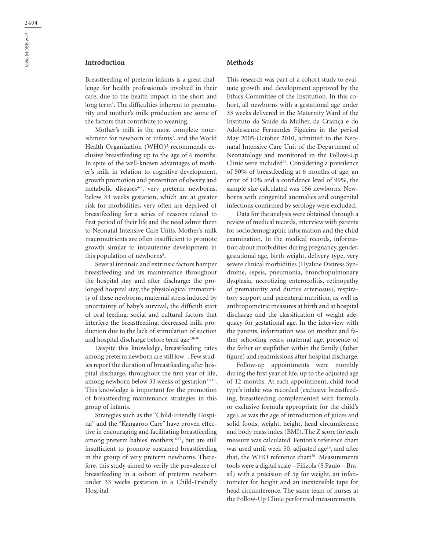## **Introduction**

Breastfeeding of preterm infants is a great challenge for health professionals involved in their care, due to the health impact in the short and long term<sup>1</sup>. The difficulties inherent to prematurity and mother's milk production are some of the factors that contribute to weaning.

Mother's milk is the most complete nourishment for newborn or infants<sup>2</sup>, and the World Health Organization (WHO)<sup>3</sup> recommends exclusive breastfeeding up to the age of 6 months. In spite of the well-known advantages of mother's milk in relation to cognitive development, growth promotion and prevention of obesity and metabolic diseases<sup>4-7</sup>, very preterm newborns, below 33 weeks gestation, which are at greater risk for morbidities, very often are deprived of breastfeeding for a series of reasons related to first period of their life and the need admit them to Neonatal Intensive Care Units. Mother's milk macronutrients are often insufficient to promote growth similar to intrauterine development in this population of newborns<sup>8</sup>.

Several intrinsic and extrinsic factors hamper breastfeeding and its maintenance throughout the hospital stay and after discharge: the prolonged hospital stay, the physiological immaturity of these newborns, maternal stress induced by uncertainty of baby's survival, the difficult start of oral feeding, social and cultural factors that interfere the breastfeeding, decreased milk production due to the lack of stimulation of suction and hospital discharge before term age<sup>1,8-10</sup>.

Despite this knowledge, breastfeeding rates among preterm newborn are still low<sup>11</sup>. Few studies report the duration of breastfeeding after hospital discharge, throughout the first year of life, among newborn below 33 weeks of gestation $12-15$ . This knowledge is important for the promotion of breastfeeding maintenance strategies in this group of infants.

Strategies such as the "Child-Friendly Hospital" and the "Kangaroo Care" have proven effective in encouraging and facilitating breastfeeding among preterm babies' mothers<sup>16,17</sup>, but are still insufficient to promote sustained breastfeeding in the group of very preterm newborns. Therefore, this study aimed to verify the prevalence of breastfeeding in a cohort of preterm newborn under 33 weeks gestation in a Child-Friendly Hospital.

## **Methods**

This research was part of a cohort study to evaluate growth and development approved by the Ethics Committee of the Institution. In this cohort, all newborns with a gestational age under 33 weeks delivered in the Maternity Ward of the Instituto da Saúde da Mulher, da Criança e do Adolescente Fernandes Figueira in the period May 2005-October 2010, admitted to the Neonatal Intensive Care Unit of the Department of Neonatology and monitored in the Follow-Up Clinic were included18. Considering a prevalence of 50% of breastfeeding at 6 months of age, an error of 10% and a confidence level of 99%, the sample size calculated was 166 newborns. Newborns with congenital anomalies and congenital infections confirmed by serology were excluded.

Data for the analysis were obtained through a review of medical records, interview with parents for sociodemographic information and the child examination. In the medical records, information about morbidities during pregnancy, gender, gestational age, birth weight, delivery type, very severe clinical morbidities (Hyaline Distress Syndrome, sepsis, pneumonia, bronchopulmonary dysplasia, necrotizing enterocolitis, retinopathy of prematurity and ductus arteriosus), respiratory support and parenteral nutrition, as well as anthropometric measures at birth and at hospital discharge and the classification of weight adequacy for gestational age. In the interview with the parents, information was on mother and father schooling years, maternal age, presence of the father or stepfather within the family (father figure) and readmissions after hospital discharge.

Follow-up appointments were monthly during the first year of life, up to the adjusted age of 12 months. At each appointment, child food type's intake was recorded (exclusive breastfeeding, breastfeeding complemented with formula or exclusive formula appropriate for the child's age), as was the age of introduction of juices and solid foods, weight, height, head circumference and body mass index (BMI). The Z score for each measure was calculated. Fenton's reference chart was used until week 50, adjusted age<sup>19</sup>, and after that, the WHO reference chart<sup>20</sup>. Measurements tools were a digital scale – Filizola (S Paulo – Brasil) with a precision of 5g for weight, an infantometer for height and an inextensible tape for head circumference. The same team of nurses at the Follow-Up Clinic performed measurements.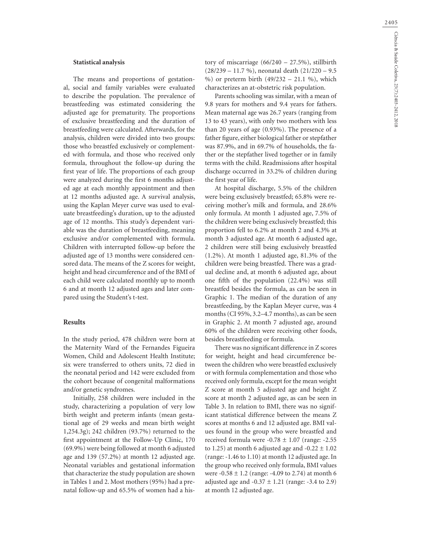#### **Statistical analysis**

The means and proportions of gestational, social and family variables were evaluated to describe the population. The prevalence of breastfeeding was estimated considering the adjusted age for prematurity. The proportions of exclusive breastfeeding and the duration of breastfeeding were calculated. Afterwards, for the analysis, children were divided into two groups: those who breastfed exclusively or complemented with formula, and those who received only formula, throughout the follow-up during the first year of life. The proportions of each group were analyzed during the first 6 months adjusted age at each monthly appointment and then at 12 months adjusted age. A survival analysis, using the Kaplan Meyer curve was used to evaluate breastfeeding's duration, up to the adjusted age of 12 months. This study's dependent variable was the duration of breastfeeding, meaning exclusive and/or complemented with formula. Children with interrupted follow-up before the adjusted age of 13 months were considered censored data. The means of the Z scores for weight, height and head circumference and of the BMI of each child were calculated monthly up to month 6 and at month 12 adjusted ages and later compared using the Student's t-test.

## **Results**

In the study period, 478 children were born at the Maternity Ward of the Fernandes Figueira Women, Child and Adolescent Health Institute; six were transferred to others units, 72 died in the neonatal period and 142 were excluded from the cohort because of congenital malformations and/or genetic syndromes.

Initially, 258 children were included in the study, characterizing a population of very low birth weight and preterm infants (mean gestational age of 29 weeks and mean birth weight 1,254.3g); 242 children (93.7%) returned to the first appointment at the Follow-Up Clinic, 170 (69.9%) were being followed at month 6 adjusted age and 139 (57.2%) at month 12 adjusted age. Neonatal variables and gestational information that characterize the study population are shown in Tables 1 and 2. Most mothers (95%) had a prenatal follow-up and 65.5% of women had a history of miscarriage (66/240 – 27.5%), stillbirth (28/239 – 11.7 %), neonatal death (21/220 – 9.5 %) or preterm birth  $(49/232 - 21.1)$ %, which characterizes an at-obstetric risk population.

Parents schooling was similar, with a mean of 9.8 years for mothers and 9.4 years for fathers. Mean maternal age was 26.7 years (ranging from 13 to 43 years), with only two mothers with less than 20 years of age (0.93%). The presence of a father figure, either biological father or stepfather was 87.9%, and in 69.7% of households, the father or the stepfather lived together or in family terms with the child. Readmissions after hospital discharge occurred in 33.2% of children during the first year of life.

At hospital discharge, 5.5% of the children were being exclusively breastfed; 65.8% were receiving mother's milk and formula, and 28.6% only formula. At month 1 adjusted age, 7.5% of the children were being exclusively breastfed; this proportion fell to 6.2% at month 2 and 4.3% at month 3 adjusted age. At month 6 adjusted age, 2 children were still being exclusively breastfed (1.2%). At month 1 adjusted age, 81.3% of the children were being breastfed. There was a gradual decline and, at month 6 adjusted age, about one fifth of the population (22.4%) was still breastfed besides the formula, as can be seen in Graphic 1. The median of the duration of any breastfeeding, by the Kaplan Meyer curve, was 4 months (CI 95%, 3.2–4.7 months), as can be seen in Graphic 2. At month 7 adjusted age, around 60% of the children were receiving other foods, besides breastfeeding or formula.

There was no significant difference in Z scores for weight, height and head circumference between the children who were breastfed exclusively or with formula complementation and those who received only formula, except for the mean weight Z score at month 5 adjusted age and height Z score at month 2 adjusted age, as can be seen in Table 3. In relation to BMI, there was no significant statistical difference between the means Z scores at months 6 and 12 adjusted age. BMI values found in the group who were breastfed and received formula were  $-0.78 \pm 1.07$  (range:  $-2.55$ to 1.25) at month 6 adjusted age and  $-0.22 \pm 1.02$ (range: -1.46 to 1.10) at month 12 adjusted age. In the group who received only formula, BMI values were  $-0.58 \pm 1.2$  (range:  $-4.09$  to 2.74) at month 6 adjusted age and  $-0.37 \pm 1.21$  (range:  $-3.4$  to 2.9) at month 12 adjusted age.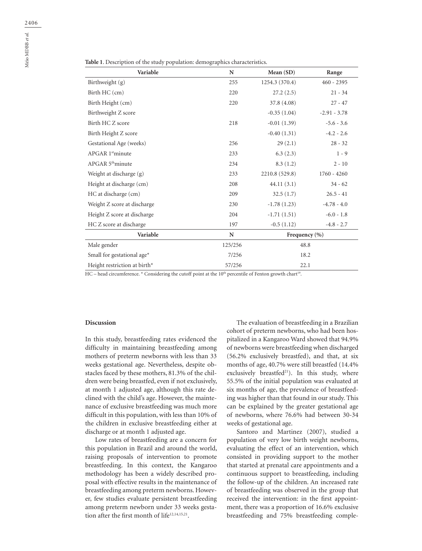| Variable                     | N       | Mean (SD)         | Range          |
|------------------------------|---------|-------------------|----------------|
| Birthweight (g)              | 255     | 1254.3 (370.4)    | $460 - 2395$   |
| Birth HC (cm)                | 220     | 27.2(2.5)         | $21 - 34$      |
| Birth Height (cm)            | 220     | 37.8 (4.08)       | $27 - 47$      |
| Birthweight Z score          |         | $-0.35(1.04)$     | $-2.91 - 3.78$ |
| Birth HC Z score             | 218     | $-0.01(1.39)$     | $-5.6 - 3.6$   |
| Birth Height Z score         |         | $-0.40(1.31)$     | $-4.2 - 2.6$   |
| Gestational Age (weeks)      | 256     | 29(2.1)           | $28 - 32$      |
| APGAR 1 <sup>st</sup> minute | 233     | 6.3(2.3)          | $1 - 9$        |
| APGAR 5 <sup>th</sup> minute | 234     | 8.3(1.2)          | $2 - 10$       |
| Weight at discharge (g)      | 233     | 2210.8 (529.8)    | $1760 - 4260$  |
| Height at discharge (cm)     | 208     | 44.11(3.1)        | $34 - 62$      |
| HC at discharge (cm)         | 209     | 32.5(1.7)         | $26.5 - 41$    |
| Weight Z score at discharge  | 230     | $-1.78(1.23)$     | $-4.78 - 4.0$  |
| Height Z score at discharge  | 204     | $-1.71(1.51)$     | $-6.0 - 1.8$   |
| HC Z score at discharge      | 197     | $-0.5(1.12)$      | $-4.8 - 2.7$   |
| Variable                     | N       | Frequency $(\% )$ |                |
| Male gender                  | 125/256 | 48.8              |                |
| Small for gestational age*   | 7/256   | 18.2              |                |
| Height restriction at birth* | 57/256  | 22.1              |                |

**Table 1**. Description of the study population: demographics characteristics.

HC – head circumference. \* Considering the cutoff point at the 10<sup>th</sup> percentile of Fenton growth chart<sup>19</sup>.

#### **Discussion**

In this study, breastfeeding rates evidenced the difficulty in maintaining breastfeeding among mothers of preterm newborns with less than 33 weeks gestational age. Nevertheless, despite obstacles faced by these mothers, 81.3% of the children were being breastfed, even if not exclusively, at month 1 adjusted age, although this rate declined with the child's age. However, the maintenance of exclusive breastfeeding was much more difficult in this population, with less than 10% of the children in exclusive breastfeeding either at discharge or at month 1 adjusted age.

Low rates of breastfeeding are a concern for this population in Brazil and around the world, raising proposals of intervention to promote breastfeeding. In this context, the Kangaroo methodology has been a widely described proposal with effective results in the maintenance of breastfeeding among preterm newborns. However, few studies evaluate persistent breastfeeding among preterm newborn under 33 weeks gestation after the first month of life<sup>12,14,15,21</sup>.

The evaluation of breastfeeding in a Brazilian cohort of preterm newborns, who had been hospitalized in a Kangaroo Ward showed that 94.9% of newborns were breastfeeding when discharged (56.2% exclusively breastfed), and that, at six months of age, 40.7% were still breastfed (14.4% exclusively breastfed $21$ ). In this study, where 55.5% of the initial population was evaluated at six months of age, the prevalence of breastfeeding was higher than that found in our study. This can be explained by the greater gestational age of newborns, where 76.6% had between 30-34 weeks of gestational age.

Santoro and Martinez (2007), studied a population of very low birth weight newborns, evaluating the effect of an intervention, which consisted in providing support to the mother that started at prenatal care appointments and a continuous support to breastfeeding, including the follow-up of the children. An increased rate of breastfeeding was observed in the group that received the intervention: in the first appointment, there was a proportion of 16.6% exclusive breastfeeding and 75% breastfeeding comple-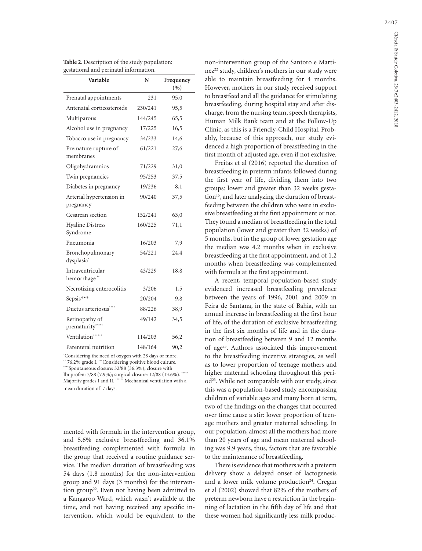**Table 2**. Description of the study population: gestational and perinatal information.

| Variable                                   | N       | Frequency<br>(9) |
|--------------------------------------------|---------|------------------|
| Prenatal appointments                      | 231     | 95,0             |
| Antenatal corticosteroids                  | 230/241 | 95,5             |
| Multiparous                                | 144/245 | 65,5             |
| Alcohol use in pregnancy                   | 17/225  | 16,5             |
| Tobacco use in pregnancy                   | 34/233  | 14,6             |
| Premature rupture of<br>membranes          | 61/221  | 27,6             |
| Oligohydramnios                            | 71/229  | 31,0             |
| Twin pregnancies                           | 95/253  | 37,5             |
| Diabetes in pregnancy                      | 19/236  | 8,1              |
| Arterial hypertension in<br>pregnancy      | 90/240  | 37,5             |
| Cesarean section                           | 152/241 | 63,0             |
| <b>Hyaline Distress</b><br>Syndrome        | 160/225 | 71,1             |
| Pneumonia                                  | 16/203  | 7,9              |
| Bronchopulmonary<br>dysplasia <sup>*</sup> | 54/221  | 24,4             |
| Intraventricular<br>hemorrhage**           | 43/229  | 18,8             |
| Necrotizing enterocolitis                  | 3/206   | 1,5              |
| Sepsis***                                  | 20/204  | 9,8              |
| Ductus arteriosus****                      | 88/226  | 38,9             |
| Retinopathy of<br>prematurity*****         | 49/142  | 34,5             |
| Ventilation******                          | 114/203 | 56,2             |
| Parenteral nutrition                       | 148/164 | 90,2             |

\* Considering the need of oxygen with 28 days or more. \*\* 76.2% grade I. \*\*\*Considering positive blood culture. \*\*\*\*Spontaneous closure: 32/88 (36.3%); closure with

Ibuprofen: 7/88 (7.9%); surgical closure: 12/88 (13.6%). \*\*\*\*<br>Majority grades I and II. \*\*\*\*\* Mechanical ventilation with a \* Mechanical ventilation with a mean duration of 7 days.

mented with formula in the intervention group, and 5.6% exclusive breastfeeding and 36.1% breastfeeding complemented with formula in the group that received a routine guidance service. The median duration of breastfeeding was 54 days (1.8 months) for the non-intervention group and 91 days (3 months) for the intervention group<sup>22</sup>. Even not having been admitted to a Kangaroo Ward, which wasn't available at the time, and not having received any specific intervention, which would be equivalent to the

non-intervention group of the Santoro e Martinez<sup>22</sup> study, children's mothers in our study were able to maintain breastfeeding for 4 months. However, mothers in our study received support to breastfeed and all the guidance for stimulating breastfeeding, during hospital stay and after discharge, from the nursing team, speech therapists, Human Milk Bank team and at the Follow-Up Clinic, as this is a Friendly-Child Hospital. Probably, because of this approach, our study evidenced a high proportion of breastfeeding in the first month of adjusted age, even if not exclusive.

Freitas et al (2016) reported the duration of breastfeeding in preterm infants followed during the first year of life, dividing them into two groups: lower and greater than 32 weeks gestation<sup>15</sup>, and later analyzing the duration of breastfeeding between the children who were in exclusive breastfeeding at the first appointment or not. They found a median of breastfeeding in the total population (lower and greater than 32 weeks) of 5 months, but in the group of lower gestation age the median was 4.2 months when in exclusive breastfeeding at the first appointment, and of 1.2 months when breastfeeding was complemented with formula at the first appointment.

A recent, temporal population-based study evidenced increased breastfeeding prevalence between the years of 1996, 2001 and 2009 in Feira de Santana, in the state of Bahia, with an annual increase in breastfeeding at the first hour of life, of the duration of exclusive breastfeeding in the first six months of life and in the duration of breastfeeding between 9 and 12 months of age23. Authors associated this improvement to the breastfeeding incentive strategies, as well as to lower proportion of teenage mothers and higher maternal schooling throughout this period<sup>23</sup>. While not comparable with our study, since this was a population-based study encompassing children of variable ages and many born at term, two of the findings on the changes that occurred over time cause a stir: lower proportion of teenage mothers and greater maternal schooling. In our population, almost all the mothers had more than 20 years of age and mean maternal schooling was 9.9 years, thus, factors that are favorable to the maintenance of breastfeeding.

There is evidence that mothers with a preterm delivery show a delayed onset of lactogenesis and a lower milk volume production<sup>24</sup>. Cregan et al (2002) showed that 82% of the mothers of preterm newborn have a restriction in the beginning of lactation in the fifth day of life and that these women had significantly less milk produc-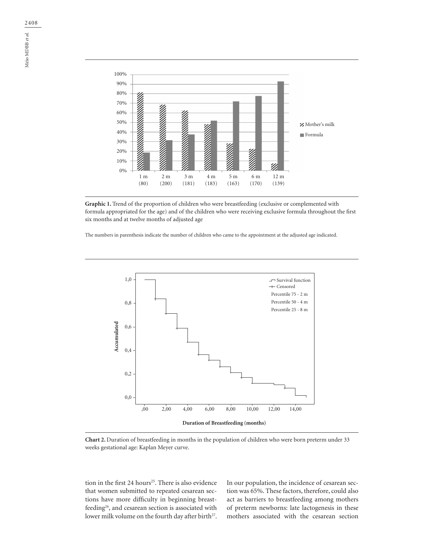

Graphic 1. Trend of the proportion of children who were breastfeeding (exclusive or complemented with formula appropriated for the age) and of the children who were receiving exclusive formula throughout the first six months and at twelve months of adjusted age

The numbers in parenthesis indicate the number of children who came to the appointment at the adjusted age indicated.



**Chart 2.** Duration of breastfeeding in months in the population of children who were born preterm under 33 weeks gestational age: Kaplan Meyer curve.

tion in the first 24 hours<sup>25</sup>. There is also evidence that women submitted to repeated cesarean sections have more difficulty in beginning breastfeeding<sup>26</sup>, and cesarean section is associated with lower milk volume on the fourth day after birth<sup>27</sup>. In our population, the incidence of cesarean section was 65%. These factors, therefore, could also act as barriers to breastfeeding among mothers of preterm newborns: late lactogenesis in these mothers associated with the cesarean section

Méio MDBB *et al.*

Méio MDBB et al.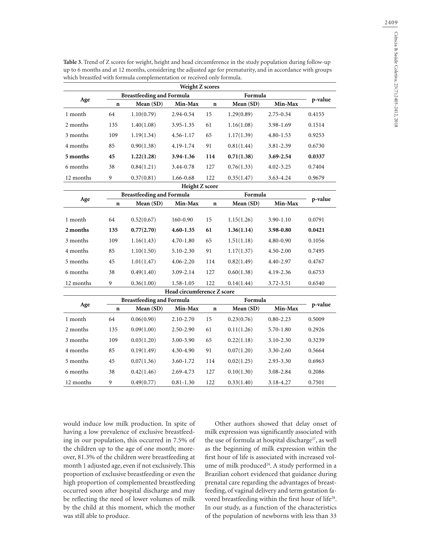|           |             |                                             | <b>Weight Z scores</b>     |             |            |               |         |
|-----------|-------------|---------------------------------------------|----------------------------|-------------|------------|---------------|---------|
|           |             | <b>Breastfeeding and Formula</b><br>Formula |                            |             |            |               |         |
| Age       | $\mathbf n$ | Mean (SD)                                   | Min-Max                    | $\mathbf n$ | Mean (SD)  | Min-Max       | p-value |
| 1 month   | 64          | 1.10(0.79)                                  | 2.94-0.54                  | 15          | 1.29(0.89) | 2.75-0.34     | 0.4155  |
| 2 months  | 135         | 1.40(1.08)                                  | 3.95-1.35                  | 61          | 1.16(1.08) | 3.98-1.69     | 0.1514  |
| 3 months  | 109         | 1.19(1.34)                                  | 4.56-1.17                  | 65          | 1.17(1.39) | $4.80 - 1.53$ | 0.9253  |
| 4 months  | 85          | 0.90(1.38)                                  | 4.19-1.74                  | 91          | 0.81(1.44) | 3.81-2.39     | 0.6730  |
| 5 months  | 45          | 1.22(1.28)                                  | 3.94-1.36                  | 114         | 0.71(1.38) | 3.69-2.54     | 0.0337  |
| 6 months  | 38          | 0.84(1.21)                                  | 3.44-0.78                  | 127         | 0.76(1.33) | $4.02 - 3.25$ | 0.7404  |
| 12 months | 9           | 0.37(0.81)                                  | 1.66-0.68                  | 122         | 0.35(1.47) | 3.63-4.24     | 0.9679  |
|           |             |                                             | Height Z score             |             |            |               |         |
| Age       |             | <b>Breastfeeding and Formula</b>            |                            |             | Formula    |               |         |
|           | $\mathbf n$ | Mean (SD)                                   | Min-Max                    | $\mathbf n$ | Mean (SD)  | Min-Max       | p-value |
|           |             |                                             |                            |             |            |               |         |
| 1 month   | 64          | 0.52(0.67)                                  | 160-0.90                   | 15          | 1.15(1.26) | 3.90-1.10     | 0.0791  |
| 2 months  | 135         | 0.77(2.70)                                  | 4.60-1.35                  | 61          | 1.36(1.14) | 3.98-0.80     | 0.0421  |
| 3 months  | 109         | 1.16(1.43)                                  | 4.70-1.80                  | 65          | 1.51(1.18) | 4.80-0.90     | 0.1056  |
| 4 months  | 85          | 1.10(1.50)                                  | 5.10-2.30                  | 91          | 1.17(1.37) | 4.50-2.00     | 0.7495  |
| 5 months  | 45          | 1.01(1.47)                                  | 4.06-2.20                  | 114         | 0.82(1.49) | 4.40-2.97     | 0.4767  |
| 6 months  | 38          | 0.49(1.40)                                  | 3.09-2.14                  | 127         | 0.60(1.38) | 4.19-2.36     | 0.6753  |
| 12 months | 9           | 0.36(1.00)                                  | $1.58 - 1.05$              | 122         | 0.14(1.44) | 3.72-3.51     | 0.6540  |
|           |             |                                             | Head circumference Z score |             |            |               |         |
| Age       |             | <b>Breastfeeding and Formula</b>            |                            |             | Formula    |               | p-value |
|           | $\mathbf n$ | Mean (SD)                                   | Min-Max                    | $\mathbf n$ | Mean (SD)  | Min-Max       |         |
| 1 month   | 64          | 0.06(0.90)                                  | 2.10-2.70                  | 15          | 0.23(0.76) | $0.80 - 2.23$ | 0.5009  |
| 2 months  | 135         | 0.09(1.00)                                  | 2.50-2.90                  | 61          | 0.11(1.26) | 5.70-1.80     | 0.2926  |
| 3 months  | 109         | 0.03(1.20)                                  | 3.00-3.90                  | 65          | 0.22(1.18) | 3.10-2.30     | 0.3239  |
| 4 months  | 85          | 0.19(1.49)                                  | 4.30-4.90                  | 91          | 0.07(1.20) | 3.30-2.60     | 0.5664  |
| 5 months  | 45          | 0.07(1.36)                                  | 3.60-1.72                  | 114         | 0.02(1.25) | 2.93-3.30     | 0.6963  |
| 6 months  | 38          | 0.42(1.46)                                  | 2.69-4.73                  | 127         | 0.10(1.30) | 3.08-2.84     | 0.2086  |
| 12 months | 9           | 0.49(0.77)                                  | $0.81 - 1.30$              | 122         | 0.33(1.40) | 3.18-4.27     | 0.7501  |

**Table 3**. Trend of Z scores for weight, height and head circumference in the study population during follow-up up to 6 months and at 12 months, considering the adjusted age for prematurity, and in accordance with groups which breastfed with formula complementation or received only formula.

would induce low milk production. In spite of having a low prevalence of exclusive breastfeeding in our population, this occurred in 7.5% of the children up to the age of one month; moreover, 81.3% of the children were breastfeeding at month 1 adjusted age, even if not exclusively. This proportion of exclusive breastfeeding or even the high proportion of complemented breastfeeding occurred soon after hospital discharge and may be reflecting the need of lower volumes of milk by the child at this moment, which the mother was still able to produce.

Other authors showed that delay onset of milk expression was significantly associated with the use of formula at hospital discharge<sup>27</sup>, as well as the beginning of milk expression within the first hour of life is associated with increased volume of milk produced<sup>24</sup>. A study performed in a Brazilian cohort evidenced that guidance during prenatal care regarding the advantages of breastfeeding, of vaginal delivery and term gestation favored breastfeeding within the first hour of life<sup>28</sup>. In our study, as a function of the characteristics of the population of newborns with less than 33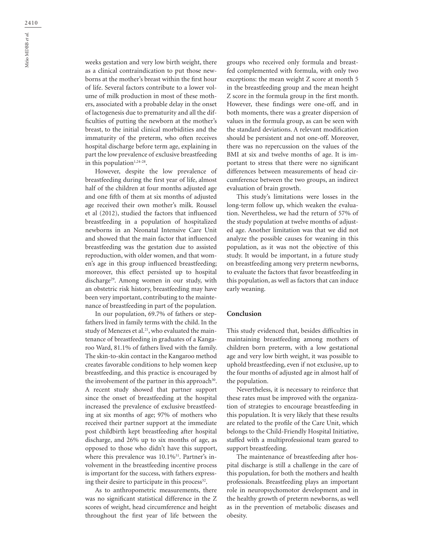weeks gestation and very low birth weight, there as a clinical contraindication to put those newborns at the mother's breast within the first hour of life. Several factors contribute to a lower volume of milk production in most of these mothers, associated with a probable delay in the onset of lactogenesis due to prematurity and all the difficulties of putting the newborn at the mother's breast, to the initial clinical morbidities and the immaturity of the preterm, who often receives hospital discharge before term age, explaining in part the low prevalence of exclusive breastfeeding in this population<sup>1,24-28</sup>.

However, despite the low prevalence of breastfeeding during the first year of life, almost half of the children at four months adjusted age and one fifth of them at six months of adjusted age received their own mother's milk. Roussel et al (2012), studied the factors that influenced breastfeeding in a population of hospitalized newborns in an Neonatal Intensive Care Unit and showed that the main factor that influenced breastfeeding was the gestation due to assisted reproduction, with older women, and that women's age in this group influenced breastfeeding; moreover, this effect persisted up to hospital discharge<sup>29</sup>. Among women in our study, with an obstetric risk history, breastfeeding may have been very important, contributing to the maintenance of breastfeeding in part of the population.

In our population, 69.7% of fathers or stepfathers lived in family terms with the child. In the study of Menezes et al.<sup>21</sup>, who evaluated the maintenance of breastfeeding in graduates of a Kangaroo Ward, 81.1% of fathers lived with the family. The skin-to-skin contact in the Kangaroo method creates favorable conditions to help women keep breastfeeding, and this practice is encouraged by the involvement of the partner in this approach $30$ . A recent study showed that partner support since the onset of breastfeeding at the hospital increased the prevalence of exclusive breastfeeding at six months of age; 97% of mothers who received their partner support at the immediate post childbirth kept breastfeeding after hospital discharge, and 26% up to six months of age, as opposed to those who didn't have this support, where this prevalence was  $10.1\%$ <sup>31</sup>. Partner's involvement in the breastfeeding incentive process is important for the success, with fathers expressing their desire to participate in this process $32$ .

As to anthropometric measurements, there was no significant statistical difference in the Z scores of weight, head circumference and height throughout the first year of life between the

groups who received only formula and breastfed complemented with formula, with only two exceptions: the mean weight Z score at month 5 in the breastfeeding group and the mean height Z score in the formula group in the first month. However, these findings were one-off, and in both moments, there was a greater dispersion of values in the formula group, as can be seen with the standard deviations. A relevant modification should be persistent and not one-off. Moreover, there was no repercussion on the values of the BMI at six and twelve months of age. It is important to stress that there were no significant differences between measurements of head circumference between the two groups, an indirect evaluation of brain growth.

This study's limitations were losses in the long-term follow up, which weaken the evaluation. Nevertheless, we had the return of 57% of the study population at twelve months of adjusted age. Another limitation was that we did not analyze the possible causes for weaning in this population, as it was not the objective of this study. It would be important, in a future study on breastfeeding among very preterm newborns, to evaluate the factors that favor breastfeeding in this population, as well as factors that can induce early weaning.

#### **Conclusion**

This study evidenced that, besides difficulties in maintaining breastfeeding among mothers of children born preterm, with a low gestational age and very low birth weight, it was possible to uphold breastfeeding, even if not exclusive, up to the four months of adjusted age in almost half of the population.

Nevertheless, it is necessary to reinforce that these rates must be improved with the organization of strategies to encourage breastfeeding in this population. It is very likely that these results are related to the profile of the Care Unit, which belongs to the Child-Friendly Hospital Initiative, staffed with a multiprofessional team geared to support breastfeeding.

The maintenance of breastfeeding after hospital discharge is still a challenge in the care of this population, for both the mothers and health professionals. Breastfeeding plays an important role in neuropsychomotor development and in the healthy growth of preterm newborns, as well as in the prevention of metabolic diseases and obesity.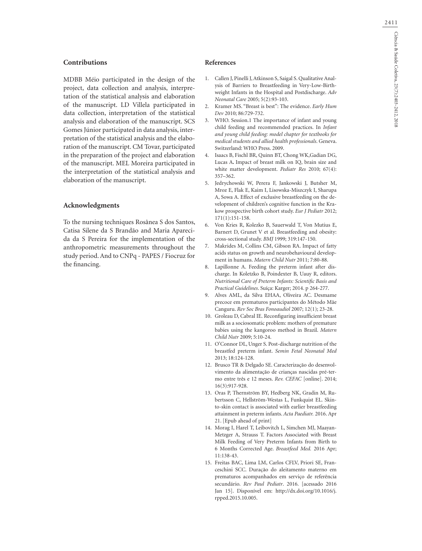### **Contributions**

MDBB Méio participated in the design of the project, data collection and analysis, interpretation of the statistical analysis and elaboration of the manuscript. LD Villela participated in data collection, interpretation of the statistical analysis and elaboration of the manuscript. SCS Gomes Júnior participated in data analysis, interpretation of the statistical analysis and the elaboration of the manuscript. CM Tovar, participated in the preparation of the project and elaboration of the manuscript. MEL Moreira participated in the interpretation of the statistical analysis and elaboration of the manuscript.

#### **Acknowledgments**

To the nursing techniques Rosânea S dos Santos, Catisa Silene da S Brandão and Maria Aparecida da S Pereira for the implementation of the anthropometric measurements throughout the study period. And to CNPq - PAPES / Fiocruz for the financing.

#### **References**

- 1. Callen J, Pinelli J, Atkinson S, Saigal S. Qualitative Analysis of Barriers to Breastfeeding in Very-Low-Birthweight Infants in the Hospital and Postdischarge. *Adv Neonatal Care* 2005; 5(2):93-103.
- 2. Kramer MS. "Breast is best": The evidence. *Early Hum Dev* 2010; 86:729-732.
- 3. WHO. Session.1 The importance of infant and young child feeding and recommended practices. In *Infant and young child feeding: model chapter for textbooks for medical students and allied health professionals*. Geneva. Switzerland: WHO Press. 2009.
- 4. Isaacs B, Fischl BR, Quinn BT, Chong WK,Gadian DG, Lucas A**.** Impact of breast milk on IQ, brain size and white matter development. *Pediatr Res* 2010; 67(4): 357–362.
- 5. Jedrychowski W, Perera F, Jankowski J, Butsher M, Mroz E, Flak E, Kaim I, Lisowska-Miszczyk I, Sharupa A, Sowa A. Effect of exclusive breastfeeding on the development of children's cognitive function in the Krakow prospective birth cohort study. *Eur J Pediatr* 2012; 171(1):151-158.
- 6. Von Kries R, Kolezko B, Sauerwald T, Von Mutius E, Barnert D, Grunet V et al. Breastfeeding and obesity: cross-sectional study. *BMJ* 1999; 319:147-150.
- 7. Makrides M, Collins CM, Gibson RA. Impact of fatty acids status on growth and neurobehavioural development in humans. *Matern Child Nutr* 2011; 7:80-88.
- 8. Lapillonne A. Feeding the preterm infant after discharge. In Koletzko B, Poindexter B, Uauy R, editors. *Nutritional Care of Preterm Infants: Scientific Basis and Practical Guidelines*. Suíça: Karger; 2014. p 264-277.
- 9. Alves AML, da Silva EHAA, Oliveira AC. Desmame precoce em prematuros participantes do Método Mãe Canguru. *Rev Soc Bras Fonoaudiol* 2007; 12(1); 23-28.
- 10. Groleau D, Cabral IE. Reconfiguring insufficient breast milk as a sociosomatic problem: mothers of premature babies using the kangoroo method in Brazil. *Matern Child Nutr* 2009; 5:10-24.
- 11. O'Connor DL, Unger S. Post-discharge nutrition of the breastfed preterm infant. *Semin Fetal Neonatal Med* 2013; 18:124-128.
- 12. Brusco TR & Delgado SE. Caracterização do desenvolvimento da alimentação de crianças nascidas pré-termo entre três e 12 meses. *Rev. CEFAC* [online]. 2014; 16(3):917-928.
- 13. Oras P, Thernström BY, Hedberg NK, Gradin M, Rubertsson C, Hellström-Westas L, Funkquist EL. Skinto-skin contact is associated with earlier breastfeeding attainment in preterm infants. *Acta Paediatr.* 2016. Apr 21. [Epub ahead of print]
- 14. Morag I, Harel T, Leibovitch L, Simchen MJ, Maayan-Metzger A, Strauss T. Factors Associated with Breast Milk Feeding of Very Preterm Infants from Birth to 6 Months Corrected Age. *Breastfeed Med.* 2016 Apr; 11:138-43.
- 15. Freitas BAC, Lima LM, Carlos CFLV, Priori SE, Franceschini SCC. Duração do aleitamento materno em prematuros acompanhados em serviço de referência secundário. *Rev Paul Pediatr*. 2016. [acessado 2016 Jan 15]. Disponível em: http://dx.doi.org/10.1016/j. rpped.2015.10.005.